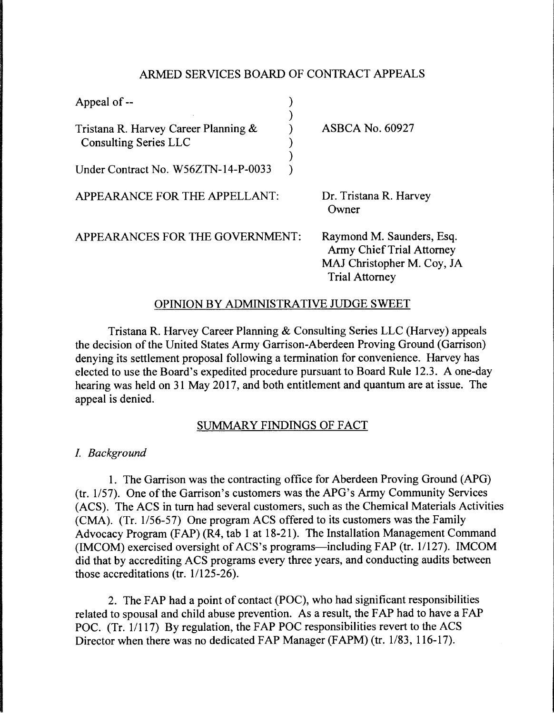# ARMED SERVICES BOARD OF CONTRACT APPEALS

| Appeal of --                                                         |                                                                                                                      |
|----------------------------------------------------------------------|----------------------------------------------------------------------------------------------------------------------|
| Tristana R. Harvey Career Planning &<br><b>Consulting Series LLC</b> | <b>ASBCA No. 60927</b>                                                                                               |
| Under Contract No. W56ZTN-14-P-0033                                  |                                                                                                                      |
| APPEARANCE FOR THE APPELLANT:                                        | Dr. Tristana R. Harvey<br>Owner                                                                                      |
| APPEARANCES FOR THE GOVERNMENT:                                      | Raymond M. Saunders, Esq.<br><b>Army Chief Trial Attorney</b><br>MAJ Christopher M. Coy, JA<br><b>Trial Attorney</b> |

# OPINION BY ADMINISTRATIVE JUDGE SWEET

Tristana R. Harvey Career Planning & Consulting Series LLC (Harvey) appeals the decision of the United States Army Garrison-Aberdeen Proving Ground (Garrison) denying its settlement proposal following a termination for convenience. Harvey has elected to use the Board's expedited procedure pursuant to Board Rule 12.3. A one-day hearing was held on 31 May 2017, and both entitlement and quantum are at issue. The appeal is denied.

# SUMMARY FINDINGS OF FACT

I. *Background* 

1. The Garrison was the contracting office for Aberdeen Proving Ground (APG) (tr. 1157). One of the Garrison's customers was the APG's Army Community Services (ACS). The ACS in turn had several customers, such as the Chemical Materials Activities (CMA). (Tr. 1/56-57) One program ACS offered to its customers was the Family Advocacy Program (FAP) (R4, tab 1 at 18-21). The Installation Management Command (IMCOM) exercised oversight of ACS's programs—including FAP (tr.  $1/127$ ). IMCOM did that by accrediting ACS programs every three years, and conducting audits between those accreditations (tr. 1/125-26).

2. The FAP had a point of contact (POC), who had significant responsibilities related to spousal and child abuse prevention. As a result, the FAP had to have a FAP POC. (Tr. 1/117) By regulation, the FAP POC responsibilities revert to the ACS Director when there was no dedicated FAP Manager (FAPM) (tr. 1/83, 116-17).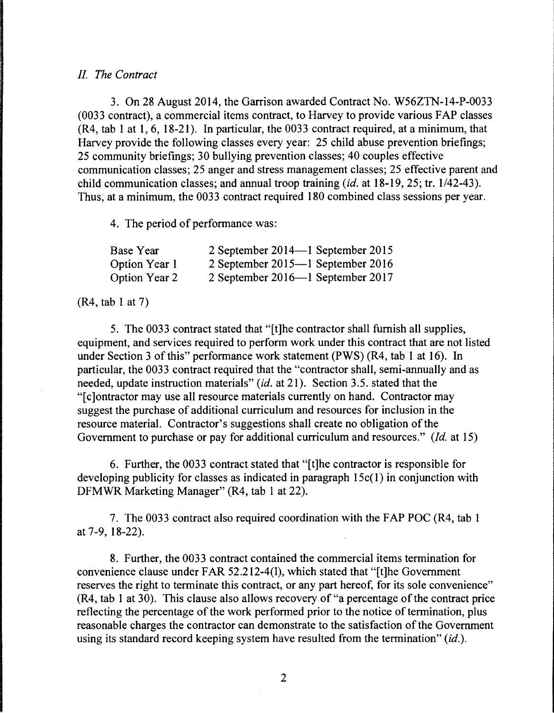### *II. The Contract*

3. On 28 August 2014, the Garrison awarded Contract No. W56ZTN-14-P-0033 (0033 contract), a commercial items contract, to Harvey to provide various FAP classes  $(R4, tab 1 at 1, 6, 18-21)$ . In particular, the 0033 contract required, at a minimum, that Harvey provide the following classes every year: 25 child abuse prevention briefings; 25 community briefings; 30 bullying prevention classes; 40 couples effective communication classes; 25 anger and stress management classes; 25 effective parent and child communication classes; and annual troop training *(id.* at 18-19, 25; tr. 1/42-43). Thus, at a minimum, the 0033 contract required 180 combined class sessions per year.

4. The period of performance was:

| Base Year            | 2 September 2014—1 September 2015 |
|----------------------|-----------------------------------|
| Option Year 1        | 2 September 2015—1 September 2016 |
| <b>Option Year 2</b> | 2 September 2016—1 September 2017 |

#### (R4, tab 1 at 7)

5. The 0033 contract stated that "[t]he contractor shall furnish all supplies, equipment, and services required to perform work under this contract that are not listed under Section 3 of this" performance work statement (PWS) (R4, tab 1 at 16). In particular, the 0033 contract required that the "contractor shall, semi-annually and as needed, update instruction materials" *(id.* at 21). Section 3.5. stated that the "[ c ]ontractor may use all resource materials currently on hand. Contractor may suggest the purchase of additional curriculum and resources for inclusion in the resource material. Contractor's suggestions shall create no obligation of the Government to purchase or pay for additional curriculum and resources." *(Id.* at 15)

6. Further, the 0033 contract stated that "[t]he contractor is responsible for developing publicity for classes as indicated in paragraph 15c(l) in conjunction with DFMWR Marketing Manager" (R4, tab 1 at 22).

7. The 0033 contract also required coordination with the FAP POC (R4, tab 1) at 7-9, 18-22).

8. Further, the 0033 contract contained the commercial items termination for convenience clause under FAR 52.212-4(1), which stated that "[t]he Government reserves the right to terminate this contract, or any part hereof, for its sole convenience" (R4, tab 1 at 30). This clause also allows recovery of "a percentage of the contract price reflecting the percentage of the work performed prior to the notice of termination, plus reasonable charges the contractor can demonstrate to the satisfaction of the Government using its standard record keeping system have resulted from the termination" *(id.).*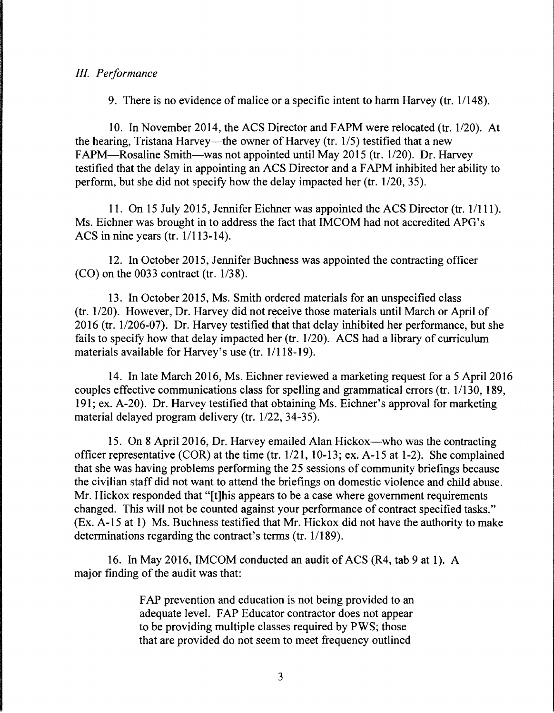### *III. Performance*

9. There is no evidence of malice or a specific intent to harm Harvey (tr. 1/148).

10. In November 2014, the ACS Director and FAPM were relocated (tr. 1/20). At the hearing, Tristana Harvey—the owner of Harvey (tr.  $1/5$ ) testified that a new FAPM—Rosaline Smith—was not appointed until May 2015 (tr. 1/20). Dr. Harvey testified that the delay in appointing an ACS Director and a F APM inhibited her ability to perform, but she did not specify how the delay impacted her (tr. 1/20, 35).

11. On 15 July 2015, Jennifer Eichner was appointed the ACS Director (tr. 11111). Ms. Eichner was brought in to address the fact that IMCOM had not accredited APG's ACS in nine years (tr.  $1/113-14$ ).

12. In October 2015, Jennifer Buchness was appointed the contracting officer (CO) on the 0033 contract (tr. 1/38).

13. In October 2015, Ms. Smith ordered materials for an unspecified class ( $tr. 1/20$ ). However, Dr. Harvey did not receive those materials until March or April of 2016 (tr. 1/206-07). Dr. Harvey testified that that delay inhibited her performance, but she fails to specify how that delay impacted her (tr.  $1/20$ ). ACS had a library of curriculum materials available for Harvey's use (tr. 1/118-19).

14. In late March 2016, Ms. Eichner reviewed a marketing request for a 5 April 2016 couples effective communications class for spelling and grammatical errors (tr. 1/130, 189, 191; ex. A-20). Dr. Harvey testified that obtaining Ms. Eichner's approval for marketing material delayed program delivery (tr. 1/22, 34-35).

15. On 8 April 2016, Dr. Harvey emailed Alan Hickox—who was the contracting officer representative (COR) at the time (tr.  $1/21$ ,  $10-13$ ; ex. A-15 at 1-2). She complained that she was having problems performing the 25 sessions of community briefings because the civilian staff did not want to attend the briefings on domestic violence and child abuse. Mr. Hickox responded that "[t]his appears to be a case where government requirements changed. This will not be counted against your performance of contract specified tasks." (Ex. A-15 at 1) Ms. Buchness testified that Mr. Hickox did not have the authority to make determinations regarding the contract's terms (tr. 1/189).

16. In May 2016, IMCOM conducted an audit of ACS (R4, tab 9 at 1). A major finding of the audit was that:

> FAP prevention and education is not being provided to an adequate level. FAP Educator contractor does not appear to be providing multiple classes required by PWS; those that are provided do not seem to meet frequency outlined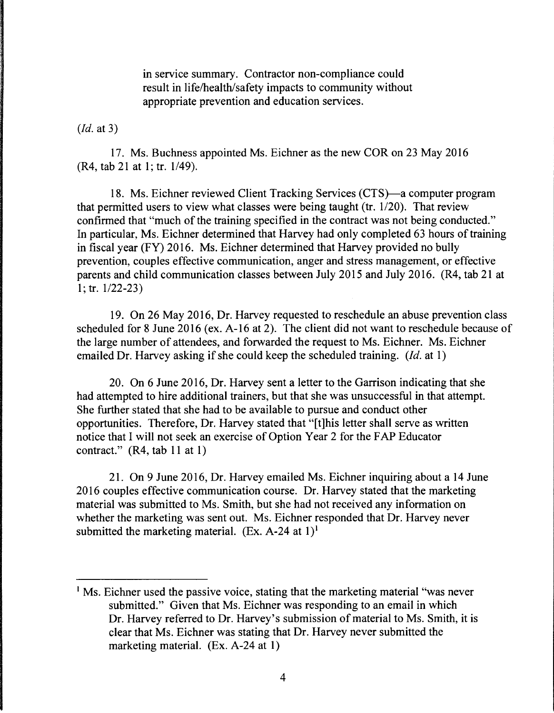in service summary. Contractor non-compliance could result in life/health/safety impacts to community without appropriate prevention and education services.

### *(Id.* at 3)

17. Ms. Buchness appointed Ms. Eichner as the new COR on 23 May 2016 (R4, tab 21 at 1; tr. 1/49).

18. Ms. Eichner reviewed Client Tracking Services (CTS)—a computer program that permitted users to view what classes were being taught (tr. 1/20). That review confirmed that "much of the training specified in the contract was not being conducted." In particular, Ms. Eichner determined that Harvey had only completed 63 hours of training in fiscal year (FY) 2016. Ms. Eichner determined that Harvey provided no bully prevention, couples effective communication, anger and stress management, or effective parents and child communication classes between July 2015 and July 2016. (R4, tab 21 at  $1;$  tr.  $1/22-23$ )

19. On 26 May 2016, Dr. Harvey requested to reschedule an abuse prevention class scheduled for 8 June 2016 (ex. A-16 at 2). The client did not want to reschedule because of the large number of attendees, and forwarded the request to Ms. Eichner. Ms. Eichner emailed Dr. Harvey asking if she could keep the scheduled training. *(Id.* at 1)

20. On 6 June 2016, Dr. Harvey sent a letter to the Garrison indicating that she had attempted to hire additional trainers, but that she was unsuccessful in that attempt. She further stated that she had to be available to pursue and conduct other opportunities. Therefore, Dr. Harvey stated that "[t]his letter shall serve as written notice that I will not seek an exercise of Option Year 2 for the FAP Educator contract." (R4, tab 11 at 1)

21. On 9 June 2016, Dr. Harvey emailed Ms. Eichner inquiring about a 14 June 2016 couples effective communication course. Dr. Harvey stated that the marketing material was submitted to Ms. Smith, but she had not received any information on whether the marketing was sent out. Ms. Eichner responded that Dr. Harvey never submitted the marketing material. (Ex. A-24 at  $1$ )<sup>1</sup>

<sup>&</sup>lt;sup>1</sup> Ms. Eichner used the passive voice, stating that the marketing material "was never" submitted." Given that Ms. Eichner was responding to an email in which Dr. Harvey referred to Dr. Harvey's submission of material to Ms. Smith, it is clear that Ms. Eichner was stating that Dr. Harvey never submitted the marketing material. (Ex. A-24 at 1)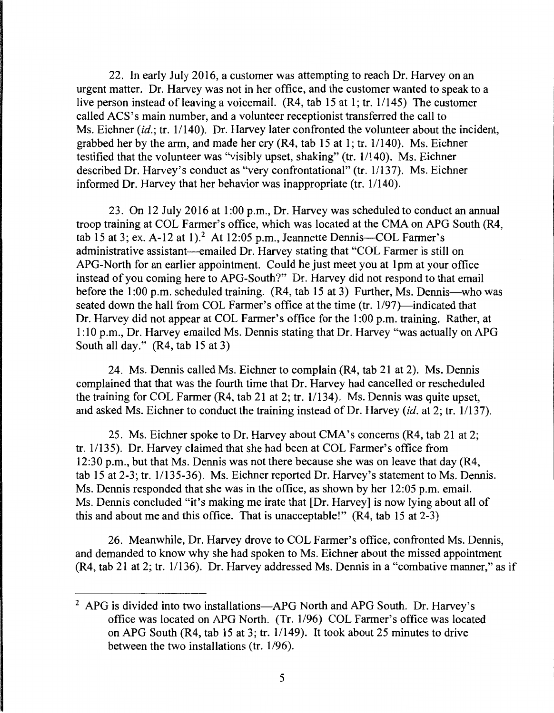22. In early July 2016, a customer was attempting to reach Dr. Harvey on an urgent matter. Dr. Harvey was not in her office, and the customer wanted to speak to a live person instead of leaving a voicemail.  $(R4, tab 15$  at 1; tr.  $1/145)$  The customer called ACS's main number, and a volunteer receptionist transferred the call to Ms. Eichner *(id.*; tr. 1/140). Dr. Harvey later confronted the volunteer about the incident, grabbed her by the arm, and made her cry  $(R4, tab 15 at 1; tr. 1/140)$ . Ms. Eichner testified that the volunteer was "visibly upset, shaking" (tr. 11140). Ms. Eichner described Dr. Harvey's conduct as "very confrontational" (tr. 1/137). Ms. Eichner informed Dr. Harvey that her behavior was inappropriate (tr.  $1/140$ ).

23. On 12 July 2016 at 1:00 p.m., Dr. Harvey was scheduled to conduct an annual troop training at COL Farmer's office, which was located at the CMA on APO South (R4, tab 15 at 3; ex. A-12 at 1).<sup>2</sup> At 12:05 p.m., Jeannette Dennis-COL Farmer's administrative assistant—emailed Dr. Harvey stating that "COL Farmer is still on APO-North for an earlier appointment. Could he just meet you at 1 pm at your office instead of you coming here to APO-South?" Dr. Harvey did not respond to that email before the 1:00 p.m. scheduled training. (R4, tab 15 at 3) Further, Ms. Dennis—who was seated down the hall from COL Farmer's office at the time (tr. 1/97)—indicated that Dr. Harvey did not appear at COL Farmer's office for the 1 :00 p.m. training. Rather, at 1: 10 p.m., Dr. Harvey emailed Ms. Dennis stating that Dr. Harvey "was actually on APO South all day." (R4, tab 15 at 3)

24. Ms. Dennis called Ms. Eichner to complain (R4, tab 21 at 2). Ms. Dennis complained that that was the fourth time that Dr. Harvey had cancelled or rescheduled the training for COL Farmer  $(R4, tab 21$  at 2; tr.  $1/134$ ). Ms. Dennis was quite upset, and asked Ms. Eichner to conduct the training instead of Dr. Harvey *(id.* at 2; tr. 1/137).

25. Ms. Eichner spoke to Dr. Harvey about CMA's concerns (R4, tab 21 at 2; tr. 11135). Dr. Harvey claimed that she had been at COL Farmer's office from 12:30 p.m., but that Ms. Dennis was not there because she was on leave that day (R4, tab 15 at 2-3; tr. 11135-36). Ms. Eichner reported Dr. Harvey's statement to Ms. Dennis. Ms. Dennis responded that she was in the office, as shown by her 12:05 p.m. email. Ms. Dennis concluded "it's making me irate that [Dr. Harvey] is now lying about all of this and about me and this office. That is unacceptable!" (R4, tab 15 at 2-3)

26. Meanwhile, Dr. Harvey drove to COL Farmer's office, confronted Ms. Dennis, and demanded to know why she had spoken to Ms. Eichner about the missed appointment (R4, tab 21 at 2; tr. 1/136). Dr. Harvey addressed Ms. Dennis in a "combative manner," as if

<sup>&</sup>lt;sup>2</sup> APG is divided into two installations-APG North and APG South. Dr. Harvey's office was located on APG North. (Tr. 1/96) COL Farmer's office was located on APG South (R4, tab 15 at 3; tr. 1/149). It took about 25 minutes to drive between the two installations (tr.  $1/96$ ).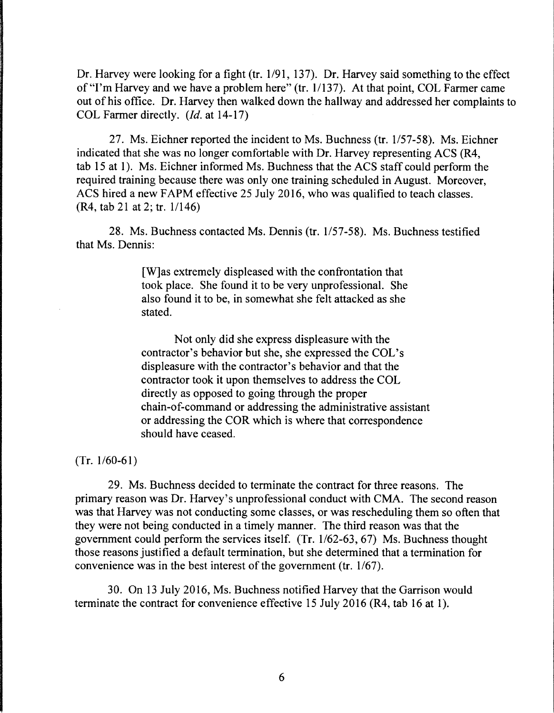Dr. Harvey were looking for a fight (tr. 1/91, 137). Dr. Harvey said something to the effect of "I'm Harvey and we have a problem here" (tr. 11137). At that point, COL Farmer came out of his office. Dr. Harvey then walked down the hallway and addressed her complaints to COL Farmer directly. *(Id.* at 14-17)

27. Ms. Eichner reported the incident to Ms. Buchness (tr. 1/57-58). Ms. Eichner indicated that she was no longer comfortable with Dr. Harvey representing ACS (R4, tab 15 at 1). Ms. Eichner informed Ms. Buchness that the ACS staff could perform the required training because there was only one training scheduled in August. Moreover, ACS hired a new FAPM effective 25 July 2016, who was qualified to teach classes. (R4, tab 21 at 2; tr. 1/146)

28. Ms. Buchness contacted Ms. Dennis (tr. 1/57-58). Ms. Buchness testified that Ms. Dennis:

> [W]as extremely displeased with the confrontation that took place. She found it to be very unprofessional. She also found it to be, in somewhat she felt attacked as she stated.

Not only did she express displeasure with the contractor's behavior but she, she expressed the COL's displeasure with the contractor's behavior and that the contractor took it upon themselves to address the COL directly as opposed to going through the proper chain-of-command or addressing the administrative assistant or addressing the COR which is where that correspondence should have ceased.

 $(Tr. 1/60-61)$ 

29. Ms. Buchness decided to terminate the contract for three reasons. The primary reason was Dr. Harvey's unprofessional conduct with CMA. The second reason was that Harvey was not conducting some classes, or was rescheduling them so often that they were not being conducted in a timely manner. The third reason was that the government could perform the services itself. (Tr.  $1/62-63$ , 67) Ms. Buchness thought those reasons justified a default termination, but she determined that a termination for convenience was in the best interest of the government (tr. 1/67).

30. On 13 July 2016, Ms. Buchness notified Harvey that the Garrison would terminate the contract for convenience effective 15 July 2016 (R4, tab 16 at 1).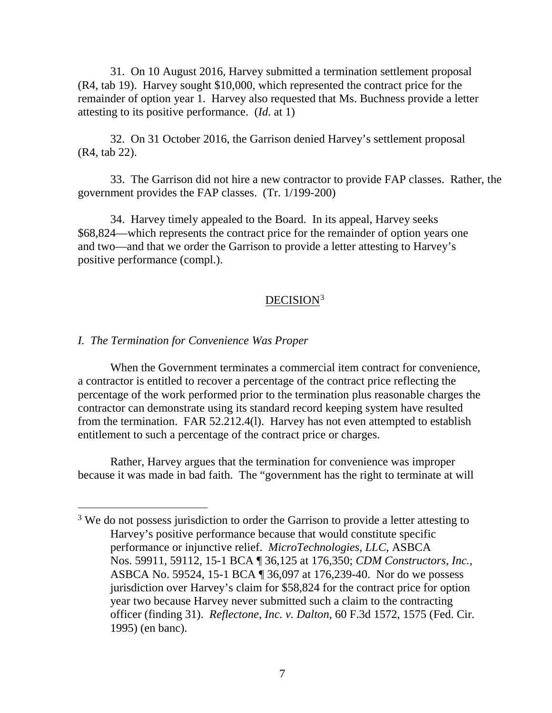31. On 10 August 2016, Harvey submitted a termination settlement proposal (R4, tab 19). Harvey sought \$10,000, which represented the contract price for the remainder of option year 1. Harvey also requested that Ms. Buchness provide a letter attesting to its positive performance. (*Id*. at 1)

32. On 31 October 2016, the Garrison denied Harvey's settlement proposal (R4, tab 22).

33. The Garrison did not hire a new contractor to provide FAP classes. Rather, the government provides the FAP classes. (Tr. 1/199-200)

34. Harvey timely appealed to the Board. In its appeal, Harvey seeks \$68,824—which represents the contract price for the remainder of option years one and two—and that we order the Garrison to provide a letter attesting to Harvey's positive performance (compl.).

### DECISION<sup>[3](#page-6-0)</sup>

### *I. The Termination for Convenience Was Proper*

When the Government terminates a commercial item contract for convenience, a contractor is entitled to recover a percentage of the contract price reflecting the percentage of the work performed prior to the termination plus reasonable charges the contractor can demonstrate using its standard record keeping system have resulted from the termination. FAR 52.212.4(l). Harvey has not even attempted to establish entitlement to such a percentage of the contract price or charges.

Rather, Harvey argues that the termination for convenience was improper because it was made in bad faith. The "government has the right to terminate at will

<span id="page-6-0"></span><sup>&</sup>lt;sup>3</sup> We do not possess jurisdiction to order the Garrison to provide a letter attesting to Harvey's positive performance because that would constitute specific performance or injunctive relief. *MicroTechnologies, LLC*, ASBCA Nos. 59911, 59112, 15-1 BCA ¶ 36,125 at 176,350; *CDM Constructors, Inc.*, ASBCA No. 59524, 15-1 BCA ¶ 36,097 at 176,239-40. Nor do we possess jurisdiction over Harvey's claim for \$58,824 for the contract price for option year two because Harvey never submitted such a claim to the contracting officer (finding 31). *Reflectone, Inc. v. Dalton*, 60 F.3d 1572, 1575 (Fed. Cir. 1995) (en banc).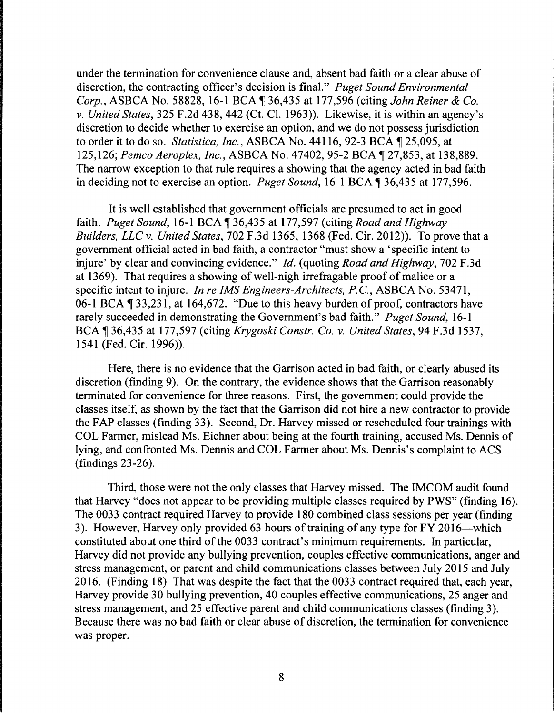under the termination for convenience clause and, absent bad faith or a clear abuse of discretion, the contracting officer's decision is final." *Puget Sound Environmental Corp., ASBCA No. 58828, 16-1 BCA*  $\parallel$  *36,435 at 177,596 (citing <i>John Reiner & Co.*) *v. United States,* 325 F.2d 438, 442 (Ct. Cl. 1963)). Likewise, it is within an agency's discretion to decide whether to exercise an option, and we do not possess jurisdiction to order it to do so. *Statistica, Inc.*, ASBCA No. 44116, 92-3 BCA ¶ 25,095, at 125,126; *Pemco Aeroplex, Inc., ASBCA No.* 47402, 95-2 BCA ¶ 27,853, at 138,889. The narrow exception to that rule requires a showing that the agency acted in bad faith in deciding not to exercise an option. *Puget Sound*, 16-1 BCA ¶ 36,435 at 177,596.

It is well established that government officials are presumed to act in good faith. *Puget Sound*, 16-1 BCA \\$136,435 at 177,597 (citing *Road and Highway Builders, LLC v. United States,* 702 F.3d 1365, 1368 (Fed. Cir. 2012)). To prove that a government official acted in bad faith, a contractor "must show a 'specific intent to injure' by clear and convincing evidence." *Id.* (quoting *Road and Highway,* 702 F.3d at 1369). That requires a showing of well-nigh irrefragable proof of malice or a specific intent to injure. *In re IMS Engineers-Architects, P.C.,* ASBCA No. 53471, 06-1 BCA  $\P$  33,231, at 164,672. "Due to this heavy burden of proof, contractors have rarely succeeded in demonstrating the Government's bad faith." *Puget Sound,* 16-1 BCA ~ 36,435 at 177,597 (citing *Krygoski Constr. Co. v. United States,* 94 F.3d 1537, 1541 (Fed. Cir. 1996)).

Here, there is no evidence that the Garrison acted in bad faith, or clearly abused its discretion (finding 9). On the contrary, the evidence shows that the Garrison reasonably terminated for convenience for three reasons. First, the government could provide the classes itself, as shown by the fact that the Garrison did not hire a new contractor to provide the F AP classes (finding 33). Second, Dr. Harvey missed or rescheduled four trainings with COL Farmer, mislead Ms. Eichner about being at the fourth training, accused Ms. Dennis of lying, and confronted Ms. Dennis and COL Farmer about Ms. Dennis's complaint to ACS (findings 23-26).

Third, those were not the only classes that Harvey missed. The IMCOM audit found that Harvey "does not appear to be providing multiple classes required by PWS" (finding 16). The 0033 contract required Harvey to provide 180 combined class sessions per year (finding 3). However, Harvey only provided 63 hours of training of any type for FY 2016—which constituted about one third of the 0033 contract's minimum requirements. In particular, Harvey did not provide any bullying prevention, couples effective communications, anger and stress management, or parent and child communications classes between July 2015 and July 2016. (Finding 18) That was despite the fact that the 0033 contract required that, each year, Harvey provide 30 bullying prevention, 40 couples effective communications, 25 anger and stress management, and 25 effective parent and child communications classes (finding 3). Because there was no bad faith or clear abuse of discretion, the termination for convenience was proper.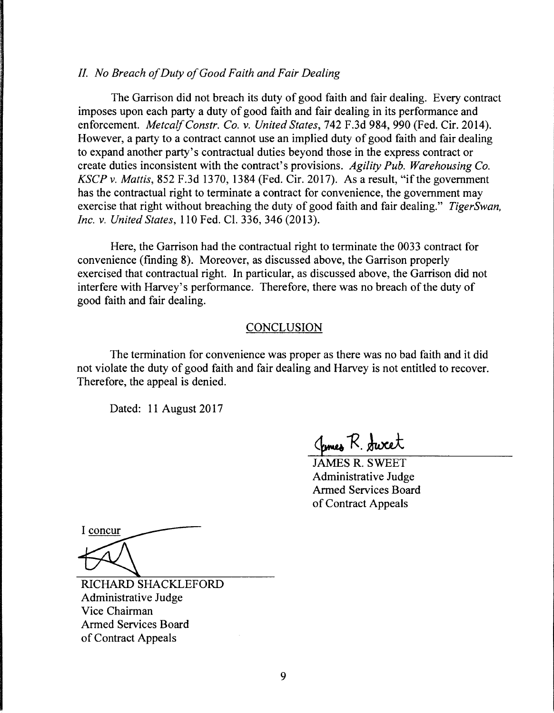## *II. No Breach of Duty of Good Faith and Fair Dealing*

The Garrison did not breach its duty of good faith and fair dealing. Every contract imposes upon each party a duty of good faith and fair dealing in its performance and enforcement. *Metcalf Constr. Co. v. United States,* 742 F.3d 984, 990 (Fed. Cir. 2014). However, a party to a contract cannot use an implied duty of good faith and fair dealing to expand another party's contractual duties beyond those in the express contract or create duties inconsistent with the contract's provisions. *Agility Pub. Warehousing Co. KSCP v. Mattis,* 852 F.3d 1370, 1384 (Fed. Cir. 2017). As a result, "if the government has the contractual right to terminate a contract for convenience, the government may exercise that right without breaching the duty of good faith and fair dealing." *TigerSwan, Inc. v. United States,* 110 Fed. Cl. 336, 346 (2013).

Here, the Garrison had the contractual right to terminate the 0033 contract for convenience (finding 8). Moreover, as discussed above, the Garrison properly exercised that contractual right. In particular, as discussed above, the Garrison did not interfere with Harvey's performance. Therefore, there was no breach of the duty of good faith and fair dealing.

#### CONCLUSION

The termination for convenience was proper as there was no bad faith and it did not violate the duty of good faith and fair dealing and Harvey is not entitled to recover. Therefore, the appeal is denied.

Dated: 11 August 2017

James R. Sweet

JAMES R. SWEET Administrative Judge Armed Services Board of Contract Appeals

I concur

RICHARD SHACKLEFORD Administrative Judge Vice Chairman Armed Services Board of Contract Appeals